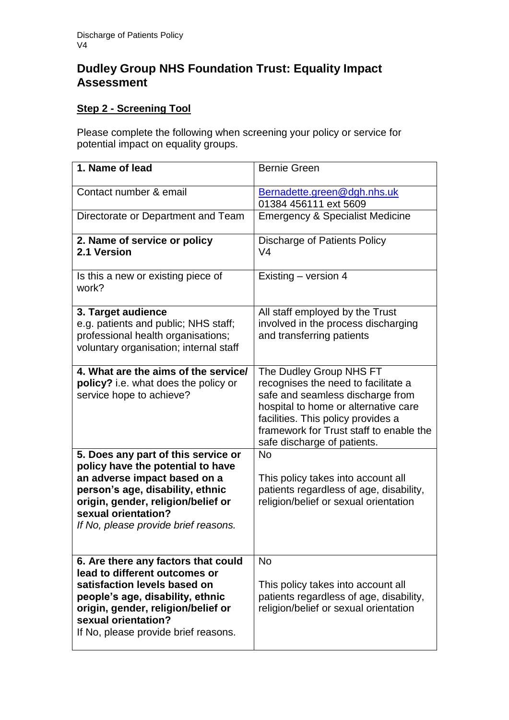# **Dudley Group NHS Foundation Trust: Equality Impact Assessment**

## **Step 2 - Screening Tool**

Please complete the following when screening your policy or service for potential impact on equality groups.

| 1. Name of lead                                                                                                                                                                                                                                   | <b>Bernie Green</b>                                                                                                                                                                                                                                        |
|---------------------------------------------------------------------------------------------------------------------------------------------------------------------------------------------------------------------------------------------------|------------------------------------------------------------------------------------------------------------------------------------------------------------------------------------------------------------------------------------------------------------|
| Contact number & email                                                                                                                                                                                                                            | Bernadette.green@dgh.nhs.uk<br>01384 456111 ext 5609                                                                                                                                                                                                       |
| Directorate or Department and Team                                                                                                                                                                                                                | <b>Emergency &amp; Specialist Medicine</b>                                                                                                                                                                                                                 |
| 2. Name of service or policy<br>2.1 Version                                                                                                                                                                                                       | Discharge of Patients Policy<br>V <sub>4</sub>                                                                                                                                                                                                             |
| Is this a new or existing piece of<br>work?                                                                                                                                                                                                       | Existing - version 4                                                                                                                                                                                                                                       |
| 3. Target audience<br>e.g. patients and public; NHS staff;<br>professional health organisations;<br>voluntary organisation; internal staff                                                                                                        | All staff employed by the Trust<br>involved in the process discharging<br>and transferring patients                                                                                                                                                        |
| 4. What are the aims of the service/<br>policy? i.e. what does the policy or<br>service hope to achieve?                                                                                                                                          | The Dudley Group NHS FT<br>recognises the need to facilitate a<br>safe and seamless discharge from<br>hospital to home or alternative care<br>facilities. This policy provides a<br>framework for Trust staff to enable the<br>safe discharge of patients. |
| 5. Does any part of this service or<br>policy have the potential to have<br>an adverse impact based on a<br>person's age, disability, ethnic<br>origin, gender, religion/belief or<br>sexual orientation?<br>If No, please provide brief reasons. | <b>No</b><br>This policy takes into account all<br>patients regardless of age, disability,<br>religion/belief or sexual orientation                                                                                                                        |
| 6. Are there any factors that could<br>lead to different outcomes or<br>satisfaction levels based on<br>people's age, disability, ethnic<br>origin, gender, religion/belief or<br>sexual orientation?<br>If No, please provide brief reasons.     | <b>No</b><br>This policy takes into account all<br>patients regardless of age, disability,<br>religion/belief or sexual orientation                                                                                                                        |